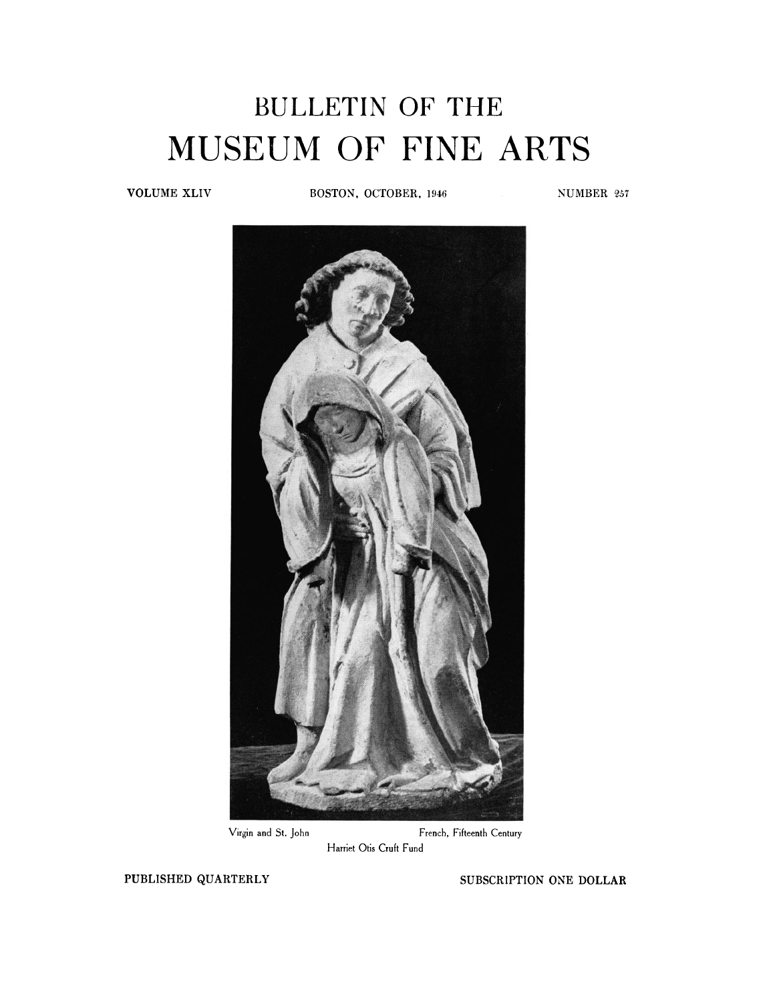## BULLETIN OF THE MUSEUM OF FINE ARTS

**VOLUME XLIV BOSTON, OCTOBER, 1946** NUMBER 257



Virgin and St. John **French, Fifteenth Century Harriet Otis Cruft Fund** 

PUBLISHED QUARTERLY SUBSCRIPTION ONE DOLLAR